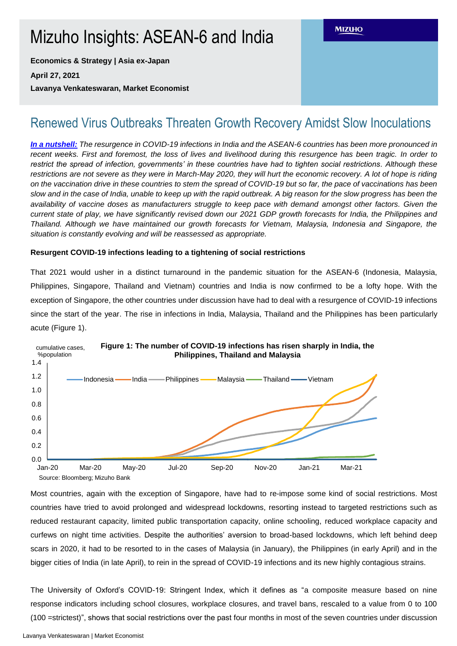# Mizuho Insights: ASEAN-6 and India

**Economics & Strategy | Asia ex-Japan**

**April 27, 2021**

**Lavanya Venkateswaran, Market Economist**

## Renewed Virus Outbreaks Threaten Growth Recovery Amidst Slow Inoculations

*In a nutshell: The resurgence in COVID-19 infections in India and the ASEAN-6 countries has been more pronounced in recent weeks. First and foremost, the loss of lives and livelihood during this resurgence has been tragic. In order to restrict the spread of infection, governments' in these countries have had to tighten social restrictions. Although these restrictions are not severe as they were in March-May 2020, they will hurt the economic recovery. A lot of hope is riding on the vaccination drive in these countries to stem the spread of COVID-19 but so far, the pace of vaccinations has been slow and in the case of India, unable to keep up with the rapid outbreak. A big reason for the slow progress has been the availability of vaccine doses as manufacturers struggle to keep pace with demand amongst other factors. Given the current state of play, we have significantly revised down our 2021 GDP growth forecasts for India, the Philippines and Thailand. Although we have maintained our growth forecasts for Vietnam, Malaysia, Indonesia and Singapore, the situation is constantly evolving and will be reassessed as appropriate.* 

### **Resurgent COVID-19 infections leading to a tightening of social restrictions**

That 2021 would usher in a distinct turnaround in the pandemic situation for the ASEAN-6 (Indonesia, Malaysia, Philippines, Singapore, Thailand and Vietnam) countries and India is now confirmed to be a lofty hope. With the exception of Singapore, the other countries under discussion have had to deal with a resurgence of COVID-19 infections since the start of the year. The rise in infections in India, Malaysia, Thailand and the Philippines has been particularly acute (Figure 1).



Most countries, again with the exception of Singapore, have had to re-impose some kind of social restrictions. Most countries have tried to avoid prolonged and widespread lockdowns, resorting instead to targeted restrictions such as reduced restaurant capacity, limited public transportation capacity, online schooling, reduced workplace capacity and curfews on night time activities. Despite the authorities' aversion to broad-based lockdowns, which left behind deep scars in 2020, it had to be resorted to in the cases of Malaysia (in January), the Philippines (in early April) and in the bigger cities of India (in late April), to rein in the spread of COVID-19 infections and its new highly contagious strains.

The University of Oxford's COVID-19: Stringent Index, which it defines as "a composite measure based on nine response indicators including school closures, workplace closures, and travel bans, rescaled to a value from 0 to 100 (100 =strictest)", shows that social restrictions over the past four months in most of the seven countries under discussion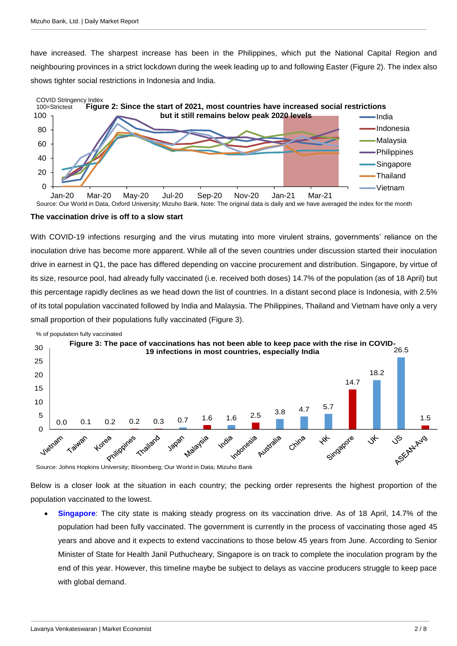have increased. The sharpest increase has been in the Philippines, which put the National Capital Region and neighbouring provinces in a strict lockdown during the week leading up to and following Easter (Figure 2). The index also shows tighter social restrictions in Indonesia and India.



Source: Our World in Data, Oxford University; Mizuho Bank. Note: The original data is daily and we have averaged the index for the month

#### **The vaccination drive is off to a slow start**

With COVID-19 infections resurging and the virus mutating into more virulent strains, governments' reliance on the inoculation drive has become more apparent. While all of the seven countries under discussion started their inoculation drive in earnest in Q1, the pace has differed depending on vaccine procurement and distribution. Singapore, by virtue of its size, resource pool, had already fully vaccinated (i.e. received both doses) 14.7% of the population (as of 18 April) but this percentage rapidly declines as we head down the list of countries. In a distant second place is Indonesia, with 2.5% of its total population vaccinated followed by India and Malaysia. The Philippines, Thailand and Vietnam have only a very small proportion of their populations fully vaccinated (Figure 3).



Source: Johns Hopkins University; Bloomberg; Our World in Data; Mizuho Bank

Below is a closer look at the situation in each country; the pecking order represents the highest proportion of the population vaccinated to the lowest.

 **Singapore**: The city state is making steady progress on its vaccination drive. As of 18 April, 14.7% of the population had been fully vaccinated. The government is currently in the process of vaccinating those aged 45 years and above and it expects to extend vaccinations to those below 45 years from June. According to Senior Minister of State for Health Janil Puthucheary, Singapore is on track to complete the inoculation program by the end of this year. However, this timeline maybe be subject to delays as vaccine producers struggle to keep pace with global demand.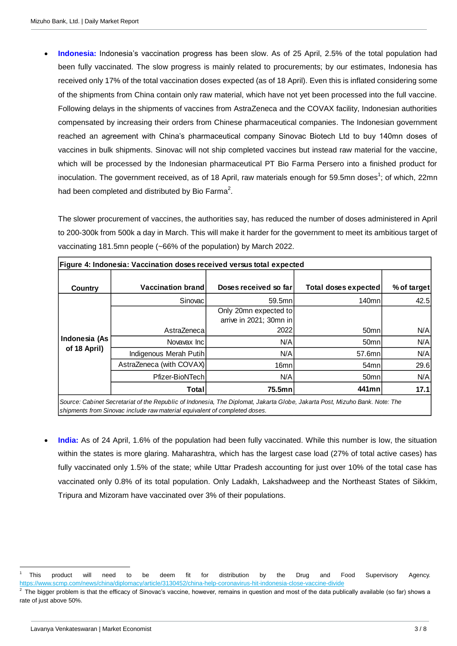**Indonesia:** Indonesia's vaccination progress has been slow. As of 25 April, 2.5% of the total population had been fully vaccinated. The slow progress is mainly related to procurements; by our estimates, Indonesia has received only 17% of the total vaccination doses expected (as of 18 April). Even this is inflated considering some of the shipments from China contain only raw material, which have not yet been processed into the full vaccine. Following delays in the shipments of vaccines from AstraZeneca and the COVAX facility, Indonesian authorities compensated by increasing their orders from Chinese pharmaceutical companies. The Indonesian government reached an agreement with China's pharmaceutical company Sinovac Biotech Ltd to buy 140mn doses of vaccines in bulk shipments. Sinovac will not ship completed vaccines but instead raw material for the vaccine, which will be processed by the Indonesian pharmaceutical PT Bio Farma Persero into a finished product for inoculation. The government received, as of 18 April, raw materials enough for 59.5mn doses<sup>1</sup>; of which, 22mn had been completed and distributed by Bio Farma<sup>2</sup>.

The slower procurement of vaccines, the authorities say, has reduced the number of doses administered in April to 200-300k from 500k a day in March. This will make it harder for the government to meet its ambitious target of vaccinating 181.5mn people (~66% of the population) by March 2022.

| <b>Country</b>                | <b>Vaccination brand</b>                                                                                                                                                                                                                                                                                                                                                                                                                        | Doses received so far   | <b>Total doses expected</b> |
|-------------------------------|-------------------------------------------------------------------------------------------------------------------------------------------------------------------------------------------------------------------------------------------------------------------------------------------------------------------------------------------------------------------------------------------------------------------------------------------------|-------------------------|-----------------------------|
|                               | Sinovac                                                                                                                                                                                                                                                                                                                                                                                                                                         | 59.5mn                  | 140mn                       |
|                               |                                                                                                                                                                                                                                                                                                                                                                                                                                                 | Only 20mn expected to   |                             |
|                               |                                                                                                                                                                                                                                                                                                                                                                                                                                                 | arrive in 2021; 30mn in |                             |
| Indonesia (As<br>of 18 April) | AstraZeneca                                                                                                                                                                                                                                                                                                                                                                                                                                     | 2022                    | 50 <sub>mn</sub>            |
|                               | Novavax Inc                                                                                                                                                                                                                                                                                                                                                                                                                                     | N/A                     | 50mn                        |
|                               | Indigenous Merah Putih                                                                                                                                                                                                                                                                                                                                                                                                                          | N/A                     | 57.6mn                      |
|                               | AstraZeneca (with COVAX)                                                                                                                                                                                                                                                                                                                                                                                                                        | 16mn                    | 54mn                        |
|                               | Pfizer-BioNTech                                                                                                                                                                                                                                                                                                                                                                                                                                 | N/A                     | 50mn                        |
|                               | <b>Total</b>                                                                                                                                                                                                                                                                                                                                                                                                                                    | 75.5mn                  | 441mn                       |
|                               | Source: Cabinet Secretariat of the Republic of Indonesia, The Diplomat, Jakarta Globe, Jakarta Post, Mizuho Bank. Note: The<br>shipments from Sinovac include raw material equivalent of completed doses.<br>India: As of 24 April, 1.6% of the population had been fully vaccinated. While this number is low, the situation<br>within the states is more glaring. Maharashtra, which has the largest case load (27% of total active cases) ha |                         |                             |
|                               | fully vaccinated only 1.5% of the state; while Uttar Pradesh accounting for just over 10% of the total case ha                                                                                                                                                                                                                                                                                                                                  |                         |                             |
|                               | vaccinated only 0.8% of its total population. Only Ladakh, Lakshadweep and the Northeast States of Sikkir<br>Tripura and Mizoram have vaccinated over 3% of their populations.                                                                                                                                                                                                                                                                  |                         |                             |
|                               |                                                                                                                                                                                                                                                                                                                                                                                                                                                 |                         |                             |

<sup>1</sup> This product will need to be deem fit for distribution by the Drug and Food Supervisory Agency. <https://www.scmp.com/news/china/diplomacy/article/3130452/china-help-coronavirus-hit-indonesia-close-vaccine-divide>

<sup>2</sup> The bigger problem is that the efficacy of Sinovac's vaccine, however, remains in question and most of the data publically available (so far) shows a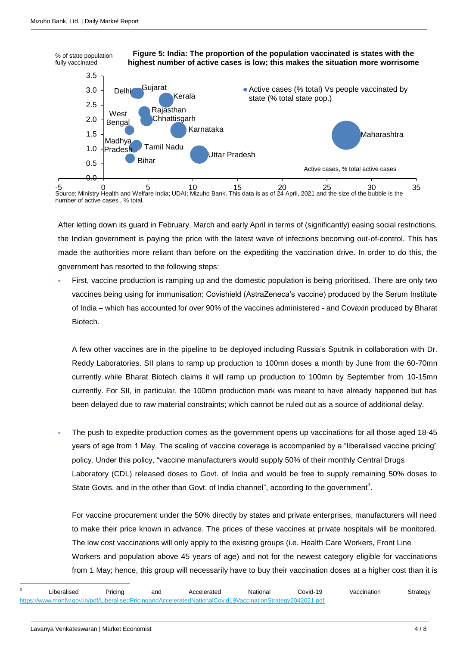

Source: Ministry Health and Welfare India; UDAI; Mizuho Bank. This data is as of 24 April, 2021 and the size of the bubble is the number of active cases , % total.

After letting down its guard in February, March and early April in terms of (significantly) easing social restrictions, the Indian government is paying the price with the latest wave of infections becoming out-of-control. This has made the authorities more reliant than before on the expediting the vaccination drive. In order to do this, the government has resorted to the following steps:

**-** First, vaccine production is ramping up and the domestic population is being prioritised. There are only two vaccines being using for immunisation: Covishield (AstraZeneca's vaccine) produced by the Serum Institute of India – which has accounted for over 90% of the vaccines administered - and Covaxin produced by Bharat Biotech.

A few other vaccines are in the pipeline to be deployed including Russia's Sputnik in collaboration with Dr. Reddy Laboratories. SII plans to ramp up production to 100mn doses a month by June from the 60-70mn currently while Bharat Biotech claims it will ramp up production to 100mn by September from 10-15mn currently. For SII, in particular, the 100mn production mark was meant to have already happened but has been delayed due to raw material constraints; which cannot be ruled out as a source of additional delay.

**-** The push to expedite production comes as the government opens up vaccinations for all those aged 18-45 years of age from 1 May. The scaling of vaccine coverage is accompanied by a "liberalised vaccine pricing" policy. Under this policy, "vaccine manufacturers would supply 50% of their monthly Central Drugs Laboratory (CDL) released doses to Govt. of India and would be free to supply remaining 50% doses to State Govts. and in the other than Govt. of India channel", according to the government<sup>3</sup>.

For vaccine procurement under the 50% directly by states and private enterprises, manufacturers will need to make their price known in advance. The prices of these vaccines at private hospitals will be monitored. The low cost vaccinations will only apply to the existing groups (i.e. Health Care Workers, Front Line Workers and population above 45 years of age) and not for the newest category eligible for vaccinations from 1 May; hence, this group will necessarily have to buy their vaccination doses at a higher cost than it is

 $\overline{a}$ 

<sup>3</sup> Liberalised Pricing and Accelerated National Covid-19 Vaccination Strategy <https://www.mohfw.gov.in/pdf/LiberalisedPricingandAcceleratedNationalCovid19VaccinationStrategy2042021.pdf>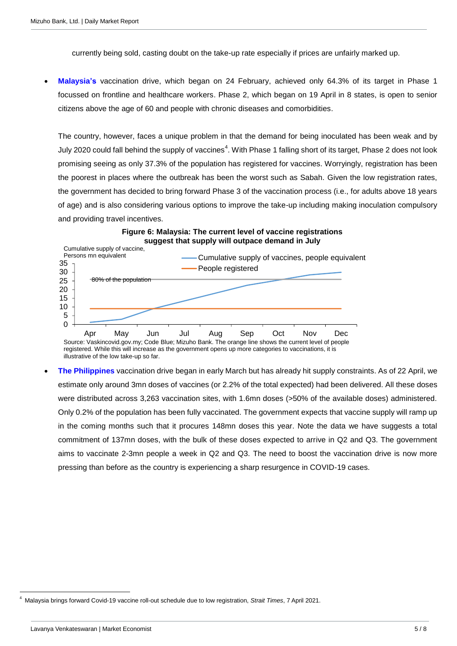currently being sold, casting doubt on the take-up rate especially if prices are unfairly marked up.

 **Malaysia's** vaccination drive, which began on 24 February, achieved only 64.3% of its target in Phase 1 focussed on frontline and healthcare workers. Phase 2, which began on 19 April in 8 states, is open to senior citizens above the age of 60 and people with chronic diseases and comorbidities.

The country, however, faces a unique problem in that the demand for being inoculated has been weak and by July 2020 could fall behind the supply of vaccines<sup>4</sup>. With Phase 1 falling short of its target, Phase 2 does not look promising seeing as only 37.3% of the population has registered for vaccines. Worryingly, registration has been the poorest in places where the outbreak has been the worst such as Sabah. Given the low registration rates, the government has decided to bring forward Phase 3 of the vaccination process (i.e., for adults above 18 years of age) and is also considering various options to improve the take-up including making inoculation compulsory and providing travel incentives.





registered. While this will increase as the government opens up more categories to vaccinations, it is illustrative of the low take-up so far.

 **The Philippines** vaccination drive began in early March but has already hit supply constraints. As of 22 April, we estimate only around 3mn doses of vaccines (or 2.2% of the total expected) had been delivered. All these doses were distributed across 3,263 vaccination sites, with 1.6mn doses (>50% of the available doses) administered. Only 0.2% of the population has been fully vaccinated. The government expects that vaccine supply will ramp up in the coming months such that it procures 148mn doses this year. Note the data we have suggests a total commitment of 137mn doses, with the bulk of these doses expected to arrive in Q2 and Q3. The government aims to vaccinate 2-3mn people a week in Q2 and Q3. The need to boost the vaccination drive is now more pressing than before as the country is experiencing a sharp resurgence in COVID-19 cases.

<sup>4</sup> Malaysia brings forward Covid-19 vaccine roll-out schedule due to low registration, *Strait Times*, 7 April 2021.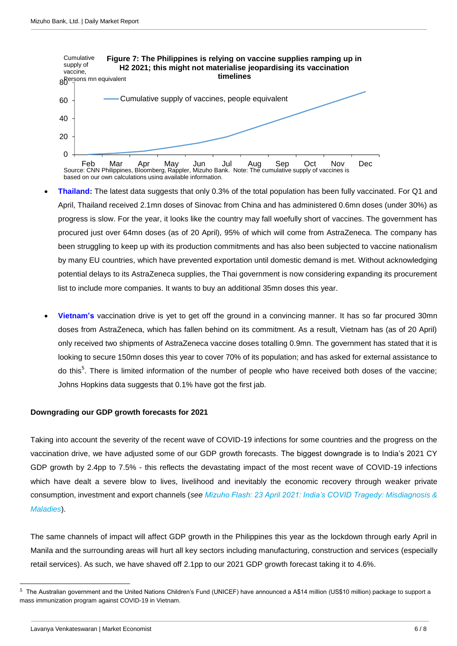

- **Thailand:** The latest data suggests that only 0.3% of the total population has been fully vaccinated. For Q1 and April, Thailand received 2.1mn doses of Sinovac from China and has administered 0.6mn doses (under 30%) as progress is slow. For the year, it looks like the country may fall woefully short of vaccines. The government has procured just over 64mn doses (as of 20 April), 95% of which will come from AstraZeneca. The company has been struggling to keep up with its production commitments and has also been subjected to vaccine nationalism by many EU countries, which have prevented exportation until domestic demand is met. Without acknowledging potential delays to its AstraZeneca supplies, the Thai government is now considering expanding its procurement list to include more companies. It wants to buy an additional 35mn doses this year.
- **Vietnam's** vaccination drive is yet to get off the ground in a convincing manner. It has so far procured 30mn doses from AstraZeneca, which has fallen behind on its commitment. As a result, Vietnam has (as of 20 April) only received two shipments of AstraZeneca vaccine doses totalling 0.9mn. The government has stated that it is looking to secure 150mn doses this year to cover 70% of its population; and has asked for external assistance to do this<sup>5</sup>. There is limited information of the number of people who have received both doses of the vaccine; Johns Hopkins data suggests that 0.1% have got the first jab.

### **Downgrading our GDP growth forecasts for 2021**

Taking into account the severity of the recent wave of COVID-19 infections for some countries and the progress on the vaccination drive, we have adjusted some of our GDP growth forecasts. The biggest downgrade is to India's 2021 CY GDP growth by 2.4pp to 7.5% - this reflects the devastating impact of the most recent wave of COVID-19 infections which have dealt a severe blow to lives, livelihood and inevitably the economic recovery through weaker private consumption, investment and export channels (*see [Mizuho Flash: 23 April 2021: India's COVID Tragedy: Misdiagnosis &](https://www.mizuhogroup.com/binaries/content/assets/pdf/singapore/macro/ad-hoc/flash/mf_indias-covid-tragedy_210423.pdf)  [Maladies](https://www.mizuhogroup.com/binaries/content/assets/pdf/singapore/macro/ad-hoc/flash/mf_indias-covid-tragedy_210423.pdf)*).

The same channels of impact will affect GDP growth in the Philippines this year as the lockdown through early April in Manila and the surrounding areas will hurt all key sectors including manufacturing, construction and services (especially retail services). As such, we have shaved off 2.1pp to our 2021 GDP growth forecast taking it to 4.6%.

 $\overline{a}$ 

<sup>5</sup> The Australian government and the United Nations Children's Fund (UNICEF) have announced a A\$14 million (US\$10 million) package to support a mass immunization program against COVID-19 in Vietnam.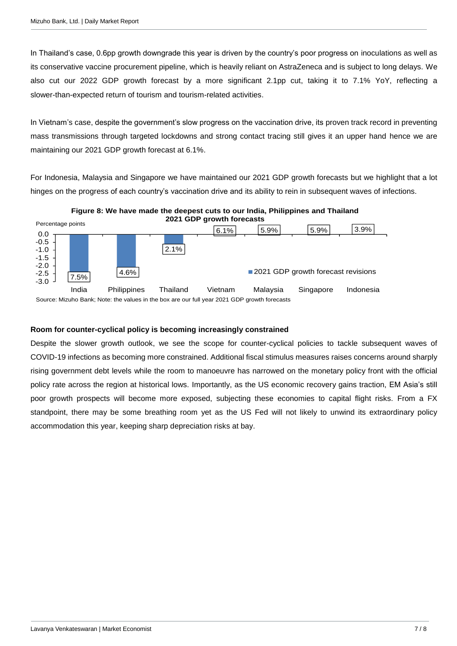In Thailand's case, 0.6pp growth downgrade this year is driven by the country's poor progress on inoculations as well as its conservative vaccine procurement pipeline, which is heavily reliant on AstraZeneca and is subject to long delays. We also cut our 2022 GDP growth forecast by a more significant 2.1pp cut, taking it to 7.1% YoY, reflecting a slower-than-expected return of tourism and tourism-related activities.

In Vietnam's case, despite the government's slow progress on the vaccination drive, its proven track record in preventing mass transmissions through targeted lockdowns and strong contact tracing still gives it an upper hand hence we are maintaining our 2021 GDP growth forecast at 6.1%.

For Indonesia, Malaysia and Singapore we have maintained our 2021 GDP growth forecasts but we highlight that a lot hinges on the progress of each country's vaccination drive and its ability to rein in subsequent waves of infections.



**Figure 8: We have made the deepest cuts to our India, Philippines and Thailand** 

# **Room for counter-cyclical policy is becoming increasingly constrained**

Despite the slower growth outlook, we see the scope for counter-cyclical policies to tackle subsequent waves of COVID-19 infections as becoming more constrained. Additional fiscal stimulus measures raises concerns around sharply rising government debt levels while the room to manoeuvre has narrowed on the monetary policy front with the official policy rate across the region at historical lows. Importantly, as the US economic recovery gains traction, EM Asia's still poor growth prospects will become more exposed, subjecting these economies to capital flight risks. From a FX standpoint, there may be some breathing room yet as the US Fed will not likely to unwind its extraordinary policy accommodation this year, keeping sharp depreciation risks at bay.